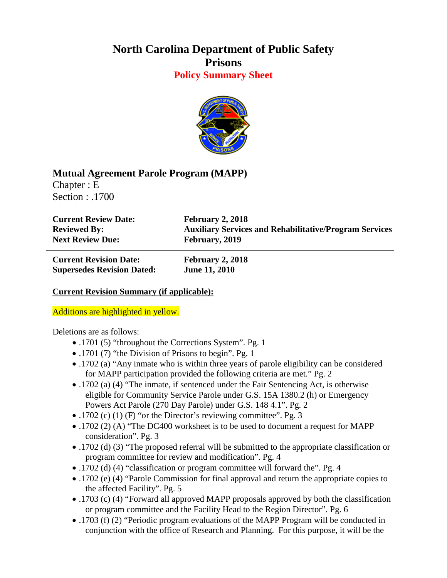## **North Carolina Department of Public Safety Prisons Policy Summary Sheet**



## **Mutual Agreement Parole Program (MAPP)**

Chapter : E Section : .1700

**Current Review Date: February 2, 2018** Next Review Due: **February**, 2019

**Reviewed By: Auxiliary Services and Rehabilitative/Program Services**

**Current Revision Date: February 2, 2018 Supersedes Revision Dated: June 11, 2010**

## **Current Revision Summary (if applicable):**

## Additions are highlighted in yellow.

Deletions are as follows:

- .1701 (5) "throughout the Corrections System". Pg. 1
- .1701 (7) "the Division of Prisons to begin". Pg. 1
- .1702 (a) "Any inmate who is within three years of parole eligibility can be considered for MAPP participation provided the following criteria are met." Pg. 2
- .1702 (a) (4) "The inmate, if sentenced under the Fair Sentencing Act, is otherwise eligible for Community Service Parole under G.S. 15A 1380.2 (h) or Emergency Powers Act Parole (270 Day Parole) under G.S. 148 4.1". Pg. 2
- .1702 (c) (1) (F) "or the Director's reviewing committee". Pg. 3
- .1702 (2) (A) "The DC400 worksheet is to be used to document a request for MAPP consideration". Pg. 3
- .1702 (d) (3) "The proposed referral will be submitted to the appropriate classification or program committee for review and modification". Pg. 4
- .1702 (d) (4) "classification or program committee will forward the". Pg. 4
- .1702 (e) (4) "Parole Commission for final approval and return the appropriate copies to the affected Facility". Pg. 5
- .1703 (c) (4) "Forward all approved MAPP proposals approved by both the classification or program committee and the Facility Head to the Region Director". Pg. 6
- .1703 (f) (2) "Periodic program evaluations of the MAPP Program will be conducted in conjunction with the office of Research and Planning. For this purpose, it will be the